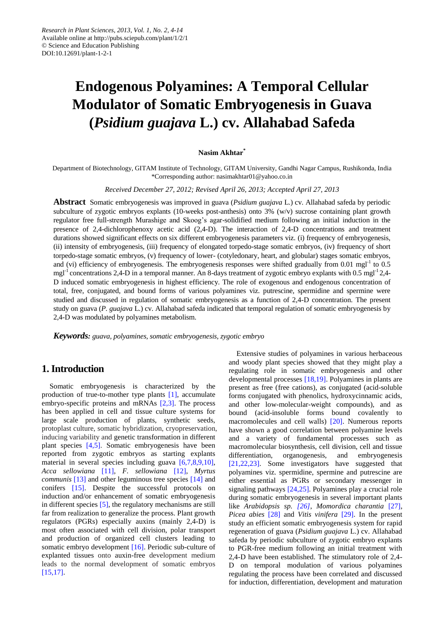# **Endogenous Polyamines: A Temporal Cellular Modulator of Somatic Embryogenesis in Guava (***Psidium guajava* **L.) cv. Allahabad Safeda**

#### **Nasim Akhtar\***

Department of Biotechnology, GITAM Institute of Technology, GITAM University, Gandhi Nagar Campus, Rushikonda, India \*Corresponding author[: nasimakhtar01@yahoo.co.in](mailto:nasimakhtar01@yahoo.co.in)

#### *Received December 27, 2012; Revised April 26, 2013; Accepted April 27, 2013*

**Abstract** Somatic embryogenesis was improved in guava (*Psidium guajava* L.) cv. Allahabad safeda by periodic subculture of zygotic embryos explants (10-weeks post-anthesis) onto 3% (w/v) sucrose containing plant growth regulator free full-strength Murashige and Skoog's agar-solidified medium following an initial induction in the presence of 2,4-dichlorophenoxy acetic acid (2,4-D). The interaction of 2,4-D concentrations and treatment durations showed significant effects on six different embryogenesis parameters viz. (i) frequency of embryogenesis, (ii) intensity of embryogenesis, (iii) frequency of elongated torpedo-stage somatic embryos, (iv) frequency of short torpedo-stage somatic embryos, (v) frequency of lower- (cotyledonary, heart, and globular) stages somatic embryos, and (vi) efficiency of embryogenesis. The embryogenesis responses were shifted gradually from 0.01 mgl<sup>-1</sup> to 0.5 mgl<sup>-1</sup> concentrations 2,4-D in a temporal manner. An 8-days treatment of zygotic embryo explants with 0.5 mgl<sup>-1</sup> 2,4-D induced somatic embryogenesis in highest efficiency. The role of exogenous and endogenous concentration of total, free, conjugated, and bound forms of various polyamines viz. putrescine, spermidine and spermine were studied and discussed in regulation of somatic embryogenesis as a function of 2,4-D concentration. The present study on guava (*P. guajava* L.) cv. Allahabad safeda indicated that temporal regulation of somatic embryogenesis by 2,4-D was modulated by polyamines metabolism.

*Keywords: guava, polyamines, somatic embryogenesis, zygotic embryo*

# **1. Introduction**

Somatic embryogenesis is characterized by the production of true-to-mother type plants [\[1\],](#page-9-0) accumulate embryo-specific proteins and mRNAs [\[2,3\].](#page-9-1) The process has been applied in cell and tissue culture systems for large scale production of plants, synthetic seeds, protoplast culture, somatic hybridization, cryopreservation, inducing variability and genetic transformation in different plant species [\[4,5\].](#page-9-2) Somatic embryogenesis have been reported from zygotic embryos as starting explants material in several species including guava [\[6,7,8,9,10\],](#page-9-3) *Acca sellowiana* [\[11\],](#page-9-4) *F. sellowiana* [\[12\],](#page-10-0) *Myrtus communis* [\[13\]](#page-10-1) and other leguminous tree species [\[14\]](#page-10-2) and conifers [\[15\].](#page-10-3) Despite the successful protocols on induction and/or enhancement of somatic embryogenesis in different species [\[5\],](#page-9-5) the regulatory mechanisms are still far from realization to generalize the process. Plant growth regulators (PGRs) especially auxins (mainly 2,4-D) is most often associated with cell division, polar transport and production of organized cell clusters leading to somatic embryo development [\[16\].](#page-10-4) Periodic sub-culture of explanted tissues onto auxin-free development medium leads to the normal development of somatic embryos [\[15,17\].](#page-10-3)

Extensive studies of polyamines in various herbaceous and woody plant species showed that they might play a regulating role in somatic embryogenesis and other developmental processes [\[18,19\].](#page-10-5) Polyamines in plants are present as free (free cations), as conjugated (acid-soluble forms conjugated with phenolics, hydroxycinnamic acids, and other low-molecular-weight compounds), and as bound (acid-insoluble forms bound covalently to macromolecules and cell walls) [\[20\].](#page-10-6) Numerous reports have shown a good correlation between polyamine levels and a variety of fundamental processes such as macromolecular biosynthesis, cell division, cell and tissue differentiation, organogenesis, and embryogenesis [\[21,22,23\].](#page-10-7) Some investigators have suggested that polyamines viz. spermidine, spermine and putrescine are either essential as PGRs or secondary messenger in signaling pathways [\[24,25\].](#page-10-8) Polyamines play a crucial role during somatic embryogenesis in several important plants like *Arabidopsis sp. [\[26\]](#page-10-9)*, *Momordica charantia* [\[27\],](#page-10-10) *Picea abies* [\[28\]](#page-10-11) and *Vitis vinifera* [\[29\].](#page-10-12) In the present study an efficient somatic embryogenesis system for rapid regeneration of guava (*Psidium guajava* L.) cv. Allahabad safeda by periodic subculture of zygotic embryo explants to PGR-free medium following an initial treatment with 2,4-D have been established. The stimulatory role of 2,4- D on temporal modulation of various polyamines regulating the process have been correlated and discussed for induction, differentiation, development and maturation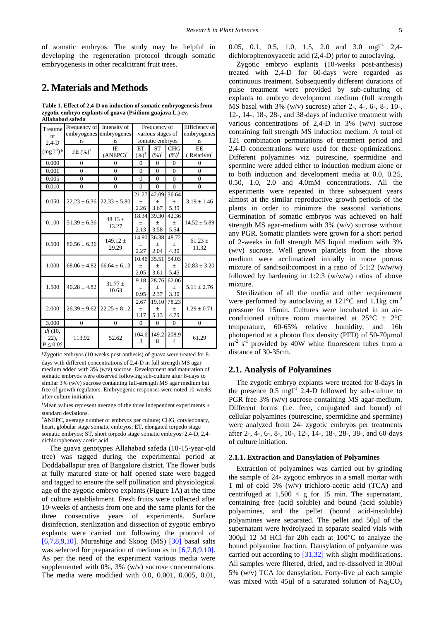of somatic embryos. The study may be helpful in developing the regeneration protocol through somatic embryogenesis in other recalcitrant fruit trees.

# **2. Materials and Methods**

**Table 1. Effect of 2,4-D on induction of somatic embryogenesis from zygotic embryo explants of guava (Psidium guajava L.) cv. Allahabad safeda**

<span id="page-1-0"></span>

| Treatme<br>nt.<br>$2.4-D$          | Frequency of<br>is  | Intensity of<br>embryogenes embryogenes<br>is | Frequency of<br>various stages of<br>somatic embryos |                                  |                               | Efficiency of<br>embryogenes<br>is   |
|------------------------------------|---------------------|-----------------------------------------------|------------------------------------------------------|----------------------------------|-------------------------------|--------------------------------------|
| $(mg l^{-1})^{\S}$                 | FE $(\%)^{\dagger}$ | <b>IE</b><br>$(ANEPC)^{\dagger}$              | ET<br>$(\frac{96}{1})^{\dagger}$                     | <b>ST</b><br>$(\%)^{\dagger}$    | <b>CHG</b><br>$(%)^{\dagger}$ | <b>EE</b><br>(Relative) <sup>†</sup> |
| 0.000                              | $\overline{0}$      | $\Omega$                                      | $\mathbf{0}$                                         | $\mathbf{0}$                     | 0                             | $\theta$                             |
| 0.001                              | $\overline{0}$      | $\overline{0}$                                | $\overline{0}$                                       | $\overline{0}$                   | $\mathbf{0}$                  | $\overline{0}$                       |
| 0.005                              | $\theta$            | $\theta$                                      | $\theta$                                             | $\theta$                         | $\Omega$                      | $\theta$                             |
| 0.010                              | $\overline{0}$      | $\theta$                                      | $\theta$                                             | $\theta$                         | $\theta$                      | $\overline{0}$                       |
| 0.050                              |                     | $22.23 \pm 6.36$ 22.33 $\pm 5.80$             | 21.27<br>土<br>2.26                                   | 42.09<br>$\pm$<br>3.67           | 36.64<br>$\pm$<br>5.39        | $3.19 \pm 1.46$                      |
| 0.100                              | $51.39 \pm 6.36$    | 48.13 $\pm$<br>13.27                          | 18.34<br>土<br>2.13                                   | 39.30<br>土<br>3.58               | 42.36<br>$\pm$<br>5.54        | $14.52 \pm 5.89$                     |
| 0.500                              | $80.56 \pm 6.36$    | $149.12 \pm$<br>29.29                         | 14.90<br>$^{+}$<br>2.27                              | 36.38<br>$\pm$<br>2.04           | 48.72<br>$\pm$<br>4.30        | $61.23 \pm$<br>11.32                 |
| 1.000                              | $68.06 \pm 4.82$    | $66.64 \pm 6.13$                              | 10.46<br>$^{+}$<br>2.05                              | 35.51<br>$\! + \!\!\!\!$<br>3.61 | 54.03<br>土<br>5.45            | $20.83 \pm 3.20$                     |
| 1.500                              | $40.28 \pm 4.82$    | $31.77 \pm$<br>10.63                          | 9.18<br>土<br>0.95                                    | 28.76<br>$^{+}$<br>2.37          | 62.06<br>$\pm$<br>3.30        | $5.11 \pm 2.76$                      |
| 2.000                              | $26.39 \pm 9.62$    | $22.25 \pm 8.12$                              | 2.67<br>$\pm$<br>1.17                                | 19.10<br>$\pm$<br>5.13           | 78.23<br>$\pm$<br>4.79        | $1.29 \pm 0.71$                      |
| 3.000                              | $\Omega$            | $\Omega$                                      | $\theta$                                             | $\theta$                         | $\Omega$                      | $\overline{0}$                       |
| df(10,<br>$22$ ),<br>$P \leq 0.05$ | 113.92              | 52.62                                         | 104.6<br>3                                           | 149.2<br>8                       | 208.9<br>4                    | 61.29                                |

§Zygotic embryos (10 weeks post-anthesis) of guava were treated for 8 days with different concentrations of 2,4-D in full strength MS agar medium added with 3% (w/v) sucrose. Development and maturation of somatic embryos were observed following sub-culture after 8-days to similar 3% (w/v) sucrose containing full-strength MS agar medium but free of growth regulators. Embryogenic responses were noted 10-weeks after culture initiation.

 $\dagger$ Mean values represent average of the three independent experiments  $\pm$ standard deviations.

#ANEPC, average number of embryos per culture; CHG, cotyledonary, heart, globular stage somatic embryos; ET, elongated torpedo stage somatic embryos; ST, short torpedo stage somatic embryos; 2,4-D, 2,4 dichlorophenoxy acetic acid.

The guava genotypes Allahabad safeda (10-15-year-old tree) was tagged during the experimental period at Doddaballapur area of Bangalore district. The flower buds at fully matured state or half opened state were bagged and tagged to ensure the self pollination and physiological age of the zygotic embryo explants (Figure 1A) at the time of culture establishment. Fresh fruits were collected after 10-weeks of anthesis from one and the same plants for the three consecutive years of experiments. Surface disinfection, sterilization and dissection of zygotic embryo explants were carried out following the protocol of [\[6,7,8,9,10\].](#page-9-3) Murashige and Skoog (MS)  $[30]$  basal salts was selected for preparation of medium as in [\[6,7,8,9,10\].](#page-9-3) As per the need of the experiment various media were supplemented with 0%, 3% (w/v) sucrose concentrations. The media were modified with 0.0, 0.001, 0.005, 0.01, 0.05, 0.1, 0.5, 1.0, 1.5, 2.0 and 3.0 mg<sup>-1</sup> 2,4 dichlorophenoxyacetic acid (2,4-D) prior to autoclaving.

Zygotic embryo explants (10-weeks post-anthesis) treated with 2,4-D for 60-days were regarded as continuous treatment. Subsequently different durations of pulse treatment were provided by sub-culturing of explants to embryo development medium (full strength MS basal with 3% (w/v) sucrose) after 2-, 4-, 6-, 8-, 10-, 12-, 14-, 18-, 28-, and 38-days of inductive treatment with various concentrations of 2,4-D in 3% (w/v) sucrose containing full strength MS induction medium. A total of 121 combination permutations of treatment period and 2,4-D concentrations were used for these optimizations. Different polyamines viz. putrescine, spermidine and spermine were added either to induction medium alone or to both induction and development media at 0.0, 0.25, 0.50, 1.0, 2.0 and 4.0mM concentrations. All the experiments were repeated in three subsequent years almost at the similar reproductive growth periods of the plants in order to minimize the seasonal variations. Germination of somatic embryos was achieved on half strength MS agar-medium with 3% (w/v) sucrose without any PGR. Somatic plantlets were grown for a short period of 2-weeks in full strength MS liquid medium with 3% (w/v) sucrose. Well grown plantlets from the above medium were acclimatized initially in more porous mixture of sand:soil:compost in a ratio of 5:1:2 (w/w/w) followed by hardening in 1:2:3 (w/w/w) ratios of above mixture.

Sterilization of all the media and other requirement were performed by autoclaving at 121  $\mathbb{C}$  and 1.1kg cm<sup>-2</sup> pressure for 15min. Cultures were incubated in an airconditioned culture room maintained at  $25\degree\text{C} \pm 2\degree\text{C}$ temperature, 60-65% relative humidity, and 16h photoperiod at a photon flux density (PFD) of 50-70μmol  $\rm m^2$  s<sup>-1</sup> provided by 40W white fluorescent tubes from a distance of 30-35cm.

## **2.1. Analysis of Polyamines**

The zygotic embryo explants were treated for 8-days in the presence  $0.5 \text{ mgl}^{-1}$  2,4-D followed by sub-culture to PGR free 3% (w/v) sucrose containing MS agar-medium. Different forms (i.e. free, conjugated and bound) of cellular polyamines (putrescine, spermidine and spermine) were analyzed from 24- zygotic embryos per treatments after 2-, 4-, 6-, 8-, 10-, 12-, 14-, 18-, 28-, 38-, and 60-days of culture initiation.

#### **2.1.1. Extraction and Dansylation of Polyamines**

Extraction of polyamines was carried out by grinding the sample of 24- zygotic embryos in a small mortar with 1 ml of cold 5% (w/v) trichloro-acetic acid (TCA) and centrifuged at  $1,500 \times g$  for 15 min. The supernatant, containing free (acid soluble) and bound (acid soluble) polyamines, and the pellet (bound acid-insoluble) polyamines were separated. The pellet and  $50\mu$  of the supernatant were hydrolyzed in separate sealed vials with 300 $\mu$ 12 M HCl for 20h each at 100 °C to analyze the bound polyamine fraction. Dansylation of polyamine was carried out according to [\[31,32\]](#page-10-14) with slight modifications. All samples were filtered, dried, and re-dissolved in 300 $\mu$ l  $5\%$  (w/v) TCA for dansylation. Forty-five ul each sample was mixed with 45 $\mu$ l of a saturated solution of Na<sub>2</sub>CO<sub>3</sub>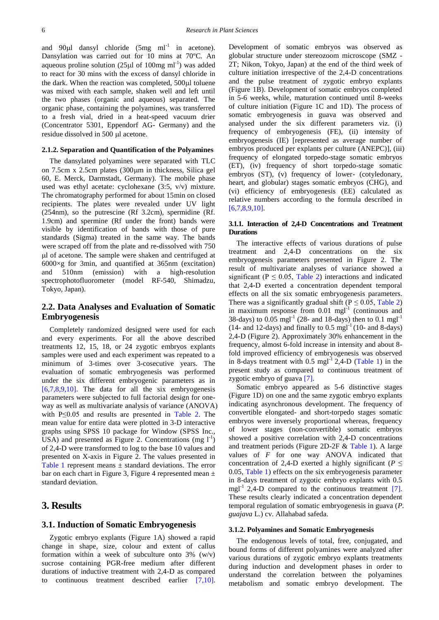and  $90\mu l$  dansyl chloride  $(5mg \text{ ml}^{-1} \text{ in } \text{acetone}).$ Dansylation was carried out for 10 mins at 70  $\mathbb{C}$ . An aqueous proline solution ( $25\mu$ l of 100mg ml<sup>-1</sup>) was added to react for 30 mins with the excess of dansyl chloride in the dark. When the reaction was completed, 500 $\mu$ l toluene was mixed with each sample, shaken well and left until the two phases (organic and aqueous) separated. The organic phase, containing the polyamines, was transferred to a fresh vial, dried in a heat-speed vacuum drier (Concentrator 5301, Eppendorf AG- Germany) and the residue dissolved in 500 *ul* acetone.

#### **2.1.2. Separation and Quantification of the Polyamines**

The dansylated polyamines were separated with TLC on 7.5cm x 2.5cm plates  $(300 \mu m)$  in thickness, Silica gel 60, E. Merck, Darmstadt, Germany). The mobile phase used was ethyl acetate: cyclohexane (3:5, v/v) mixture. The chromatography performed for about 15min on closed recipients. The plates were revealed under UV light (254nm), so the putrescine (Rf 3.2cm), spermidine (Rf. 1.9cm) and spermine (Rf under the front) bands were visible by identification of bands with those of pure standards (Sigma) treated in the same way. The bands were scraped off from the plate and re-dissolved with 750 l of acetone. The sample were shaken and centrifuged at 6000×g for 3min, and quantified at 365nm (excitation) and 510nm (emission) with a high-resolution spectrophotofluorometer (model RF-540, Shimadzu, Tokyo, Japan).

## **2.2. Data Analyses and Evaluation of Somatic Embryogenesis**

Completely randomized designed were used for each and every experiments. For all the above described treatments 12, 15, 18, or 24 zygotic embryos explants samples were used and each experiment was repeated to a minimum of 3-times over 3-cosecutive years. The evaluation of somatic embryogenesis was performed under the six different embryogenic parameters as in  $[6,7,8,9,10]$ . The data for all the six embryogenesis parameters were subjected to full factorial design for oneway as well as multivariate analysis of variance (ANOVA) with P≤0.05 and results are presented in [Table 2.](#page-6-0) The mean value for entire data were plotted in 3-D interactive graphs using SPSS 10 package for Window (SPSS Inc., USA) and presented as Figure 2. Concentrations  $(mg 1^{-1})$ of 2,4-D were transformed to log to the base 10 values and presented on X-axis in Figure 2. The values presented in [Table 1](#page-1-0) represent means  $\pm$  standard deviations. The error bar on each chart in Figure 3, Figure 4 represented mean  $\pm$ standard deviation.

## **3. Results**

#### **3.1. Induction of Somatic Embryogenesis**

Zygotic embryo explants (Figure 1A) showed a rapid change in shape, size, colour and extent of callus formation within a week of subculture onto 3% (w/v) sucrose containing PGR-free medium after different durations of inductive treatment with 2,4-D as compared to continuous treatment described earlier [\[7,10\].](#page-9-6)

Development of somatic embryos was observed as globular structure under stereozoom microscope (SMZ - 2T; Nikon, Tokyo, Japan) at the end of the third week of culture initiation irrespective of the 2,4-D concentrations and the pulse treatment of zygotic embryo explants (Figure 1B). Development of somatic embryos completed in 5-6 weeks, while, maturation continued until 8-weeks of culture initiation (Figure 1C and 1D). The process of somatic embryogenesis in guava was observed and analysed under the six different parameters viz. (i) frequency of embryogenesis (FE), (ii) intensity of embryogenesis (IE) [represented as average number of embryos produced per explants per culture (ANEPC)], (iii) frequency of elongated torpedo-stage somatic embryos (ET), (iv) frequency of short torpedo-stage somatic embryos (ST), (v) frequency of lower- (cotyledonary, heart, and globular) stages somatic embryos (CHG), and (vi) efficiency of embryogenesis (EE) calculated as relative numbers according to the formula described in [\[6,7,8,9,10\].](#page-9-3)

### **3.1.1. Interaction of 2,4-D Concentrations and Treatment Durations**

The interactive effects of various durations of pulse treatment and 2,4-D concentrations on the six embryogenesis parameters presented in Figure 2. The result of multivariate analyses of variance showed a significant ( $P \le 0.05$ , [Table 2\)](#page-6-0) interactions and indicated that 2,4-D exerted a concentration dependent temporal effects on all the six somatic embryogenesis parameters. There was a significantly gradual shift ( $P \le 0.05$ , [Table 2\)](#page-6-0) in maximum response from  $0.01$  mgl $^{-1}$  (continuous and 38-days) to 0.05  $\text{mgl}^{-1}$  (28- and 18-days) then to 0.1  $\text{mgl}^{-1}$  $(14-$  and 12-days) and finally to  $0.5 \text{ mgl}^{-1}$  (10- and 8-days) 2,4-D (Figure 2). Approximately 30% enhancement in the frequency, almost 6-fold increase in intensity and about 8 fold improved efficiency of embryogenesis was observed in 8-days treatment with  $0.5 \text{ mgl}^{-1}$  2,4-D [\(Table 1\)](#page-1-0) in the present study as compared to continuous treatment of zygotic embryo of guava [\[7\].](#page-9-6)

Somatic embryo appeared as 5-6 distinctive stages (Figure 1D) on one and the same zygotic embryo explants indicating asynchronous development. The frequency of convertible elongated- and short-torpedo stages somatic embryos were inversely proportional whereas, frequency of lower stages (non-convertible) somatic embryos showed a positive correlation with 2,4-D concentrations and treatment periods (Figure 2D-2F & [Table 1\)](#page-1-0). A large values of *F* for one way ANOVA indicated that concentration of 2,4-D exerted a highly significant ( $P \leq$ 0.05, [Table 1\)](#page-1-0) effects on the six embryogenesis parameter in 8-days treatment of zygotic embryo explants with 0.5 mgl<sup>-1</sup> 2,4-D compared to the continuous treatment  $[7]$ . These results clearly indicated a concentration dependent temporal regulation of somatic embryogenesis in guava (*P. guajava* L.) cv. Allahabad safeda.

#### **3.1.2. Polyamines and Somatic Embryogenesis**

The endogenous levels of total, free, conjugated, and bound forms of different polyamines were analyzed after various durations of zygotic embryo explants treatments during induction and development phases in order to understand the correlation between the polyamines metabolism and somatic embryo development. The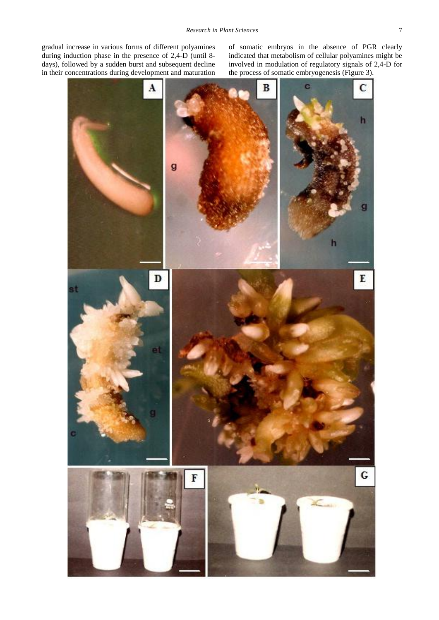gradual increase in various forms of different polyamines during induction phase in the presence of 2,4-D (until 8 days), followed by a sudden burst and subsequent decline in their concentrations during development and maturation of somatic embryos in the absence of PGR clearly indicated that metabolism of cellular polyamines might be involved in modulation of regulatory signals of 2,4-D for the process of somatic embryogenesis (Figure 3).

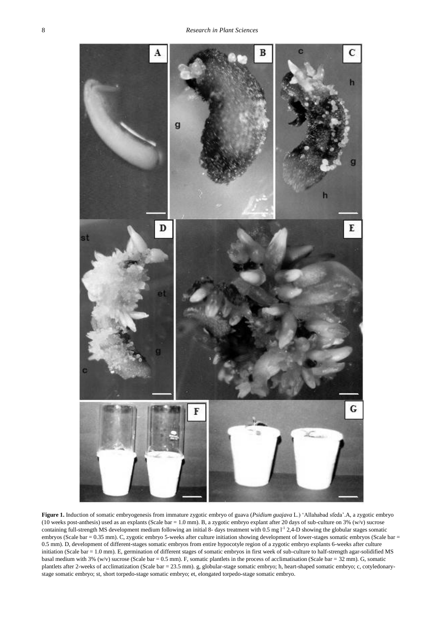

**Figure 1.** Induction of somatic embryogenesis from immature zygotic embryo of guava (*Psidium guajava* L.) 'Allahabad sfeda'.A, a zygotic embryo (10 weeks post-anthesis) used as an explants (Scale bar = 1.0 mm). B, a zygotic embryo explant after 20 days of sub-culture on 3% (w/v) sucrose containing full-strength MS development medium following an initial 8- days treatment with  $0.5$  mg  $1^{-1}$  2,4-D showing the globular stages somatic embryos (Scale bar = 0.35 mm). C, zygotic embryo 5-weeks after culture initiation showing development of lower-stages somatic embryos (Scale bar = 0.5 mm). D, development of different-stages somatic embryos from entire hypocotyle region of a zygotic embryo explants 6-weeks after culture initiation (Scale bar = 1.0 mm). E, germination of different stages of somatic embryos in first week of sub-culture to half-strength agar-solidified MS basal medium with 3% (w/v) sucrose (Scale bar = 0.5 mm). F, somatic plantlets in the process of acclimatisation (Scale bar = 32 mm). G, somatic plantlets after 2-weeks of acclimatization (Scale bar = 23.5 mm). g, globular-stage somatic embryo; h, heart-shaped somatic embryo; c, cotyledonarystage somatic embryo; st, short torpedo-stage somatic embryo; et, elongated torpedo-stage somatic embryo.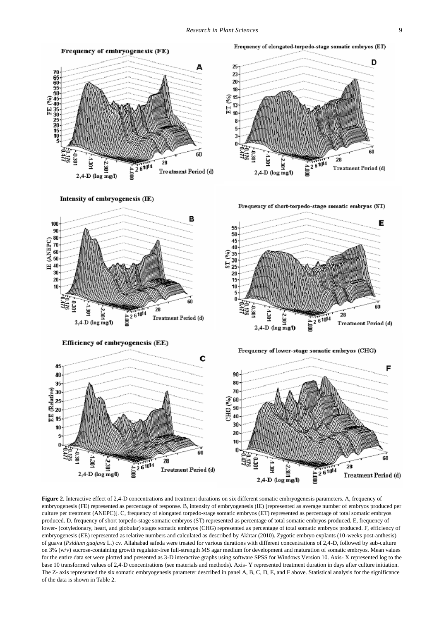25

23

20

18

13

8

4

ë

 $2,4$ -D (log mg/l)

 $\widehat{\mathcal{E}}^{\,15}$ 



Intensity of embryogenesis (IE)



Efficiency of embryogenesis (EE)

Frequency of short-torpedo-stage somatic embryos (ST)

ว่

Frequency of elongated-torpedo-stage somatic embryos (ET)



Frequency of lower-stage somatic embryos (CHG)



Figure 2. Interactive effect of 2,4-D concentrations and treatment durations on six different somatic embryogenesis parameters. A, frequency of embryogenesis (FE) represented as percentage of response. B, intensity of embryogenesis (IE) [represented as average number of embryos produced per culture per treatment (ANEPC)]. C, frequency of elongated torpedo-stage somatic embryos (ET) represented as percentage of total somatic embryos produced. D, frequency of short torpedo-stage somatic embryos (ST) represented as percentage of total somatic embryos produced. E, frequency of lower- (cotyledonary, heart, and globular) stages somatic embryos (CHG) represented as percentage of total somatic embryos produced. F, efficiency of embryogenesis (EE) represented as relative numbers and calculated as described by Akhtar (2010). Zygotic embryo explants (10-weeks post-anthesis) of guava (*Psidium guajava* L.) cv. Allahabad safeda were treated for various durations with different concentrations of 2,4-D, followed by sub-culture on 3% (w/v) sucrose-containing growth regulator-free full-strength MS agar medium for development and maturation of somatic embryos. Mean values for the entire data set were plotted and presented as 3-D interactive graphs using software SPSS for Windows Version 10. Axis- X represented log to the base 10 transformed values of 2,4-D concentrations (see materials and methods). Axis- Y represented treatment duration in days after culture initiation. The Z- axis represented the six somatic embryogenesis parameter described in panel A, B, C, D, E, and F above. Statistical analysis for the significance of the data is shown in Table 2.

D

60

Treatment Period (d)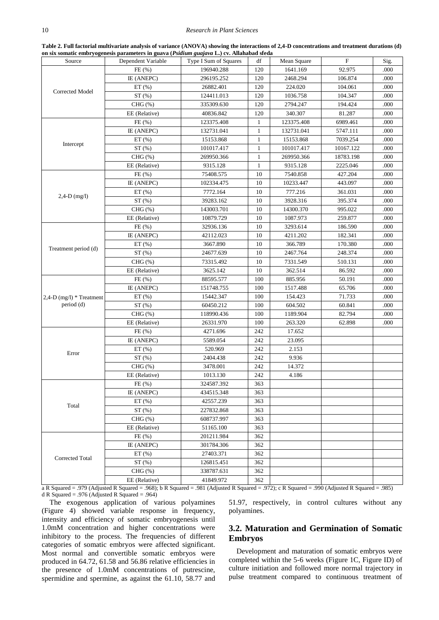**Table 2. Full factorial multivariate analysis of variance (ANOVA) showing the interactions of 2,4-D concentrations and treatment durations (d) on six somatic embryogenesis parameters in guava (***Psidium guajava* **L.) cv. Allahabad sfeda**

<span id="page-6-0"></span>

| Source                      | Dependent Variable | Type I Sum of Squares | df           | Mean Square | $\mathbf F$ | Sig. |
|-----------------------------|--------------------|-----------------------|--------------|-------------|-------------|------|
|                             | FE(%)              | 196940.288            | 120          | 1641.169    | 92.975      | .000 |
|                             | IE (ANEPC)         | 296195.252            | 120          | 2468.294    | 106.874     | .000 |
| Corrected Model             | ET(%)              | 26882.401             | 120          | 224.020     | 104.061     | .000 |
|                             | ST(%)              | 124411.013            | 120          | 1036.758    | 104.347     | .000 |
|                             | $CHG(\% )$         | 335309.630            | 120          | 2794.247    | 194.424     | .000 |
|                             | EE (Relative)      | 40836.842             | 120          | 340.307     | 81.287      | .000 |
|                             | FE(%)              | 123375.408            | $\mathbf{1}$ | 123375.408  | 6989.461    | .000 |
|                             | IE (ANEPC)         | 132731.041            | $\mathbf{1}$ | 132731.041  | 5747.111    | .000 |
|                             | ET(%)              | 15153.868             | $\mathbf{1}$ | 15153.868   | 7039.254    | .000 |
| Intercept                   | ST(%)              | 101017.417            | $\mathbf{1}$ | 101017.417  | 10167.122   | .000 |
|                             | $CHG(\% )$         | 269950.366            | $\mathbf{1}$ | 269950.366  | 18783.198   | .000 |
|                             | EE (Relative)      | 9315.128              | $\mathbf{1}$ | 9315.128    | 2225.046    | .000 |
|                             | FE(%)              | 75408.575             | 10           | 7540.858    | 427.204     | .000 |
|                             | IE (ANEPC)         | 102334.475            | 10           | 10233.447   | 443.097     | .000 |
|                             | ET(%)              | 7772.164              | 10           | 777.216     | 361.031     | .000 |
| $2,4-D$ (mg/l)              | ST(%)              | 39283.162             | 10           | 3928.316    | 395.374     | .000 |
|                             | $CHG(\% )$         | 143003.701            | 10           | 14300.370   | 995.022     | .000 |
|                             | EE (Relative)      | 10879.729             | 10           | 1087.973    | 259.877     | .000 |
|                             | FE(%)              | 32936.136             | 10           | 3293.614    | 186.590     | .000 |
|                             | IE (ANEPC)         | 42112.023             | 10           | 4211.202    | 182.341     | .000 |
|                             | ET(%)              | 3667.890              | 10           | 366.789     | 170.380     | .000 |
| Treatment period (d)        | ST(%)              | 24677.639             | 10           | 2467.764    | 248.374     | .000 |
|                             | CHG $(\% )$        | 73315.492             | 10           | 7331.549    | 510.131     | .000 |
|                             | EE (Relative)      | 3625.142              | 10           | 362.514     | 86.592      | .000 |
|                             | FE(%)              | 88595.577             | 100          | 885.956     | 50.191      | .000 |
|                             | IE (ANEPC)         | 151748.755            | 100          | 1517.488    | 65.706      | .000 |
| $2,4$ -D (mg/l) * Treatment | ET(%)              | 15442.347             | 100          | 154.423     | 71.733      | .000 |
| period (d)                  | ST(%)              | 60450.212             | 100          | 604.502     | 60.841      | .000 |
|                             | $CHG(\%)$          | 118990.436            | 100          | 1189.904    | 82.794      | .000 |
|                             | EE (Relative)      | 26331.970             | 100          | 263.320     | 62.898      | .000 |
|                             | FE(%)              | 4271.696              | 242          | 17.652      |             |      |
|                             | IE (ANEPC)         | 5589.054              | 242          | 23.095      |             |      |
|                             | ET(%)              | 520.969               | 242          | 2.153       |             |      |
| Error                       | ST(%)              | 2404.438              | 242          | 9.936       |             |      |
|                             | $CHG(\% )$         | 3478.001              | 242          | 14.372      |             |      |
|                             | EE (Relative)      | 1013.130              | 242          | 4.186       |             |      |
|                             | FE(%)              | 324587.392            | 363          |             |             |      |
|                             | IE (ANEPC)         | 434515.348            | 363          |             |             |      |
| Total                       | ET(%)              | 42557.239             | 363          |             |             |      |
|                             | ST(%)              | 227832.868            | 363          |             |             |      |
|                             | $CHG(\% )$         | 608737.997            | 363          |             |             |      |
|                             | EE (Relative)      | 51165.100             | 363          |             |             |      |
|                             | FE(%)              | 201211.984            | 362          |             |             |      |
|                             | IE (ANEPC)         | 301784.306            | 362          |             |             |      |
|                             | $ET$ (%)           | 27403.371             | 362          |             |             |      |
| Corrected Total             | ST(%)              | 126815.451            | 362          |             |             |      |
|                             | $CHG(\% )$         | 338787.631            | 362          |             |             |      |
|                             | EE (Relative)      | 41849.972             | 362          |             |             |      |

a R Squared = .979 (Adjusted R Squared = .968); b R Squared = .981 (Adjusted R Squared = .972); c R Squared = .990 (Adjusted R Squared = .985) d R Squared = .976 (Adjusted R Squared = .964)

The exogenous application of various polyamines (Figure 4) showed variable response in frequency, intensity and efficiency of somatic embryogenesis until 1.0mM concentration and higher concentrations were inhibitory to the process. The frequencies of different categories of somatic embryos were affected significant. Most normal and convertible somatic embryos were produced in 64.72, 61.58 and 56.86 relative efficiencies in the presence of 1.0mM concentrations of putrescine, spermidine and spermine, as against the 61.10, 58.77 and 51.97, respectively, in control cultures without any polyamines.

## **3.2. Maturation and Germination of Somatic Embryos**

Development and maturation of somatic embryos were completed within the 5-6 weeks (Figure 1C, Figure ID) of culture initiation and followed more normal trajectory in pulse treatment compared to continuous treatment of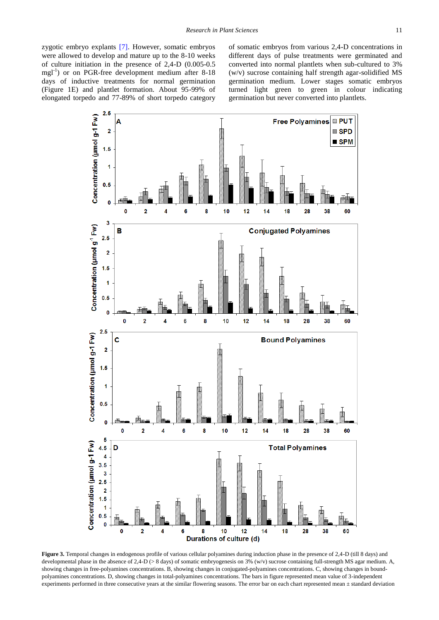zygotic embryo explants [\[7\].](#page-9-6) However, somatic embryos were allowed to develop and mature up to the 8-10 weeks of culture initiation in the presence of 2,4-D (0.005-0.5 mgl<sup>-1</sup>) or on PGR-free development medium after 8-18 days of inductive treatments for normal germination (Figure 1E) and plantlet formation. About 95-99% of elongated torpedo and 77-89% of short torpedo category

of somatic embryos from various 2,4-D concentrations in different days of pulse treatments were germinated and converted into normal plantlets when sub-cultured to 3% (w/v) sucrose containing half strength agar-solidified MS germination medium. Lower stages somatic embryos turned light green to green in colour indicating germination but never converted into plantlets.



**Figure** 3. Temporal changes in endogenous profile of various cellular polyamines during induction phase in the presence of 2.4-D (till 8 days) and developmental phase in the absence of 2,4-D (> 8 days) of somatic embryogenesis on 3% (w/v) sucrose containing full-strength MS agar medium. A, showing changes in free-polyamines concentrations. B, showing changes in conjugated-polyamines concentrations. C, showing changes in boundpolyamines concentrations. D, showing changes in total-polyamines concentrations. The bars in figure represented mean value of 3-independent experiments performed in three consecutive years at the similar flowering seasons. The error bar on each chart represented mean ± standard deviation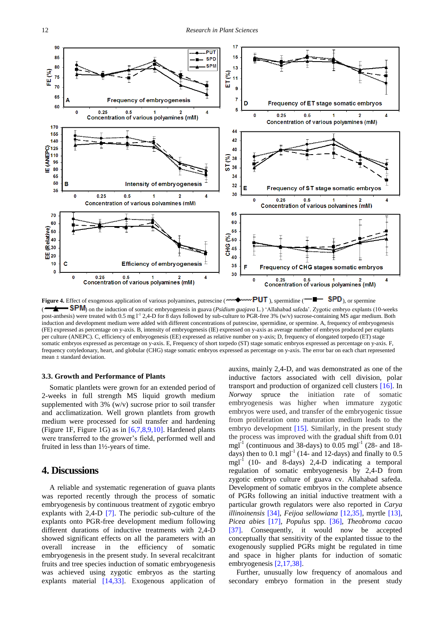

Figure 4. Effect of exogenous application of various polyamines, putrescine (**WEMPUT**), spermidine (**BU**), or spermine ( ) on the induction of somatic embryogenesis in guava (*Psidium guajava* L.) 'Allahabad safeda'. Zygotic embryo explants (10-weeks post-anthesis) were treated with 0.5 mg <sup>1-1</sup> 2,4-D for 8 days followed by sub-culture to PGR-free 3% (w/v) sucrose-containing MS agar medium. Both induction and development medium were added with different concentrations of putrescine, spermidine, or spermine. A, frequency of embryogenesis (FE) expressed as percentage on y-axis. B, intensity of embryogenesis (IE) expressed on y-axis as average number of embryos produced per explants per culture (ANEPC). C, efficiency of embryogenesis (EE) expressed as relative number on y-axis; D, frequency of elongated torpedo (ET) stage somatic embryos expressed as percentage on y-axis. E, Frequency of short torpedo (ST) stage somatic embryos expressed as percentage on y-axis. F, frequency cotyledonary, heart, and globular (CHG) stage somatic embryos expressed as percentage on y-axis. The error bar on each chart represented mean ± standard deviation.

#### **3.3. Growth and Performance of Plants**

Somatic plantlets were grown for an extended period of 2-weeks in full strength MS liquid growth medium supplemented with 3% (w/v) sucrose prior to soil transfer and acclimatization. Well grown plantlets from growth medium were processed for soil transfer and hardening (Figure 1F, Figure 1G) as in [\[6,7,8,9,10\].](#page-9-3) Hardened plants were transferred to the grower's field, performed well and fruited in less than 1½-years of time.

## **4. Discussions**

A reliable and systematic regeneration of guava plants was reported recently through the process of somatic embryogenesis by continuous treatment of zygotic embryo explants with 2,4-D [\[7\].](#page-9-6) The periodic sub-culture of the explants onto PGR-free development medium following different durations of inductive treatments with 2,4-D showed significant effects on all the parameters with an overall increase in the efficiency of somatic embryogenesis in the present study. In several recalcitrant fruits and tree species induction of somatic embryogenesis was achieved using zygotic embryos as the starting explants material [\[14,33\].](#page-10-2) Exogenous application of auxins, mainly 2,4-D, and was demonstrated as one of the inductive factors associated with cell division, polar transport and production of organized cell clusters [\[16\].](#page-10-4) In *Norway* spruce the initiation rate of somatic embryogenesis was higher when immature zygotic embryos were used, and transfer of the embryogenic tissue from proliferation onto maturation medium leads to the embryo development [\[15\].](#page-10-3) Similarly, in the present study the process was improved with the gradual shift from 0.01 mgl<sup>-1</sup> (continuous and 38-days) to 0.05 mgl<sup>-1</sup> (28- and 18days) then to  $0.1 \text{ mgl}^{-1}$  (14- and 12-days) and finally to  $0.5$ mgl-1 (10- and 8-days) 2,4-D indicating a temporal regulation of somatic embryogenesis by 2,4-D from zygotic embryo culture of guava cv. Allahabad safeda. Development of somatic embryos in the complete absence of PGRs following an initial inductive treatment with a particular growth regulators were also reported in *Carya illinoinensis* [\[34\],](#page-10-15) *Feijoa sellowiana* [\[12,35\],](#page-10-0) myrtle [\[13\],](#page-10-1) *Picea abies* [\[17\],](#page-10-16) *Populus* spp. [\[36\],](#page-10-17) *Theobroma cacao* [\[37\].](#page-10-18) Consequently, it would now be accepted conceptually that sensitivity of the explanted tissue to the exogenously supplied PGRs might be regulated in time and space in higher plants for induction of somatic embryogenesi[s \[2,17,38\].](#page-9-1)

Further, unusually low frequency of anomalous and secondary embryo formation in the present study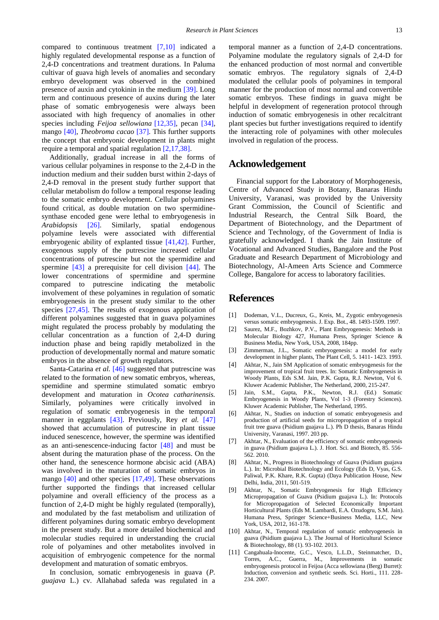compared to continuous treatment [\[7,10\]](#page-9-6) indicated a highly regulated developmental response as a function of 2,4-D concentrations and treatment durations. In Paluma cultivar of guava high levels of anomalies and secondary embryo development was observed in the combined presence of auxin and cytokinin in the medium [\[39\].](#page-10-19) Long term and continuous presence of auxins during the later phase of somatic embryogenesis were always been associated with high frequency of anomalies in other species including *Feijoa sellowiana* [\[12,35\],](#page-10-0) pecan [\[34\],](#page-10-15) mango [\[40\],](#page-10-20) *Theobroma cacao* [\[37\].](#page-10-18) This further supports the concept that embryonic development in plants might require a temporal and spatial regulation [\[2,17,38\].](#page-9-1)

Additionally, gradual increase in all the forms of various cellular polyamines in response to the 2,4-D in the induction medium and their sudden burst within 2-days of 2,4-D removal in the present study further support that cellular metabolism do follow a temporal response leading to the somatic embryo development. Cellular polyamines found critical, as double mutation on two spermidinesynthase encoded gene were lethal to embryogenesis in *Arabidopsis* [\[26\].](#page-10-9) Similarly, spatial endogenous polyamine levels were associated with differential embryogenic ability of explanted tissue [\[41,42\].](#page-10-21) Further, exogenous supply of the putrescine increased cellular concentrations of putrescine but not the spermidine and spermine [\[43\]](#page-10-22) a prerequisite for cell division [\[44\].](#page-10-23) The lower concentrations of spermidine and spermine compared to putrescine indicating the metabolic involvement of these polyamines in regulation of somatic embryogenesis in the present study similar to the other species [\[27,45\].](#page-10-10) The results of exogenous application of different polyamines suggested that in guava polyamines might regulated the process probably by modulating the cellular concentration as a function of 2,4-D during induction phase and being rapidly metabolized in the production of developmentally normal and mature somatic embryos in the absence of growth regulators.

Santa-Catarina *et al.* [\[46\]](#page-10-24) suggested that putrescine was related to the formation of new somatic embryos, whereas, spemidine and spermine stimulated somatic embryo development and maturation in *Ocotea catharinensis.*  Similarly, polyamines were critically involved in regulation of somatic embryogenesis in the temporal manner in eggplants [\[43\].](#page-10-22) Previously, Rey *et al.* [\[47\]](#page-10-25) showed that accumulation of putrescine in plant tissue induced senescence, however, the spermine was identified as an anti-senescence-inducing factor [\[48\]](#page-10-26) and must be absent during the maturation phase of the process. On the other hand, the senescence hormone abcisic acid (ABA) was involved in the maturation of somatic embryos in mango [\[40\]](#page-10-20) and other species [\[17,49\].](#page-10-16) These observations further supported the findings that increased cellular polyamine and overall efficiency of the process as a function of 2,4-D might be highly regulated (temporally), and modulated by the fast metabolism and utilization of different polyamines during somatic embryo development in the present study. But a more detailed biochemical and molecular studies required in understanding the crucial role of polyamines and other metabolites involved in acquisition of embryogenic competence for the normal development and maturation of somatic embryos.

In conclusion, somatic embryogenesis in guava (*P. guajava* L.) cv. Allahabad safeda was regulated in a temporal manner as a function of 2,4-D concentrations. Polyamine modulate the regulatory signals of 2,4-D for the enhanced production of most normal and convertible somatic embryos. The regulatory signals of 2,4-D modulated the cellular pools of polyamines in temporal manner for the production of most normal and convertible somatic embryos. These findings in guava might be helpful in development of regeneration protocol through induction of somatic embryogenesis in other recalcitrant plant species but further investigations required to identify the interacting role of polyamines with other molecules involved in regulation of the process.

## **Acknowledgement**

Financial support for the Laboratory of Morphogenesis, Centre of Advanced Study in Botany, Banaras Hindu University, Varanasi, was provided by the University Grant Commission, the Council of Scientific and Industrial Research, the Central Silk Board, the Department of Biotechnology, and the Department of Science and Technology, of the Government of India is gratefully acknowledged. I thank the Jain Institute of Vocational and Advanced Studies, Bangalore and the Post Graduate and Research Department of Microbiology and Biotechnology, Al-Ameen Arts Science and Commerce College, Bangalore for access to laboratory facilities.

## **References**

- <span id="page-9-0"></span>[1] Dodeman, V.L., Ducreux, G., Kreis, M., Zygotic embryogenesis versus somatic embryogenesis. J. Exp. Bot., 48. 1493-1509. 1997.
- <span id="page-9-1"></span>[2] Saurez, M.F., Bozhkov, P.V., Plant Embryogenesis: Methods in Molecular Biology 427, Humana Press, Springer Science & Business Media, New York, USA, 2008, 184pp.
- [3] Zimmerman, J.L., Somatic embryogenesis: a model for early development in higher plants, The Plant Cell, 5. 1411- 1423. 1993.
- <span id="page-9-2"></span>[4] Akhtar, N., Jain SM Application of somatic embryogenesis for the improvement of tropical fruit trees. In: Somatic Embryogenesis in Woody Plants, Eds S.M. Jain, P.K. Gupta, R.J. Newton, Vol 6. Kluwer Academic Publisher, The Netherland, 2000, 215-247.
- <span id="page-9-5"></span>[5] Jain, S.M., Gupta, P.K., Newton, R.J. (Ed.) Somatic Embryogenesis in Woody Plants, Vol 1-3 (Forestry Sciences). Kluwer Academic Publisher, The Netherland, 1995.
- <span id="page-9-3"></span>[6] Akhtar, N., Studies on induction of somatic embryogenesis and production of artificial seeds for micropropagation of a tropical fruit tree guava (Psidium guajava L.). Ph D thesis, Banaras Hindu University, Varanasi, 1997. 203 pp.
- <span id="page-9-6"></span>[7] Akhtar, N., Evaluation of the efficiency of somatic embryogenesis in guava (Psidium guajava L.). J. Hort. Sci. and Biotech, 85. 556- 562. 2010.
- [8] Akhtar, N., Progress in Biotechnology of Guava (Psidium guajava L.). In: Microbial Biotechnology and Ecology (Eds D, Vyas, G.S. Paliwal, P.K. Khare, R.K. Gupta) (Daya Publication House, New Delhi, India, 2011, 501-519.
- Akhtar, N., Somatic Embryogenesis for High Efficiency Micropropagation of Guava (Psidium guajava L.). In: Protocols for Micropropagation of Selected Economically Important Horticultural Plants (Eds M. Lambardi, E.A. Ozudogru, S.M. Jain). Humana Press, Springer Science+Business Media, LLC, New York, USA, 2012, 161-178.
- [10] Akhtar, N., Temporal regulation of somatic embryogenesis in guava (Psidium guajava L.). The Journal of Horticultural Science & Biotechnology, 88 (1). 93-102. 2013.
- <span id="page-9-4"></span>[11] Cangahuala-Inocente, G.C., Vesco, L.L.D., Steinmatcher, D., Torres, A.C., Guerra, M., Improvements in somatic embryogenesis protocol in Feijoa (Acca sellowiana (Berg) Burret): Induction, conversion and synthetic seeds. Sci. Horti., 111. 228- 234. 2007.